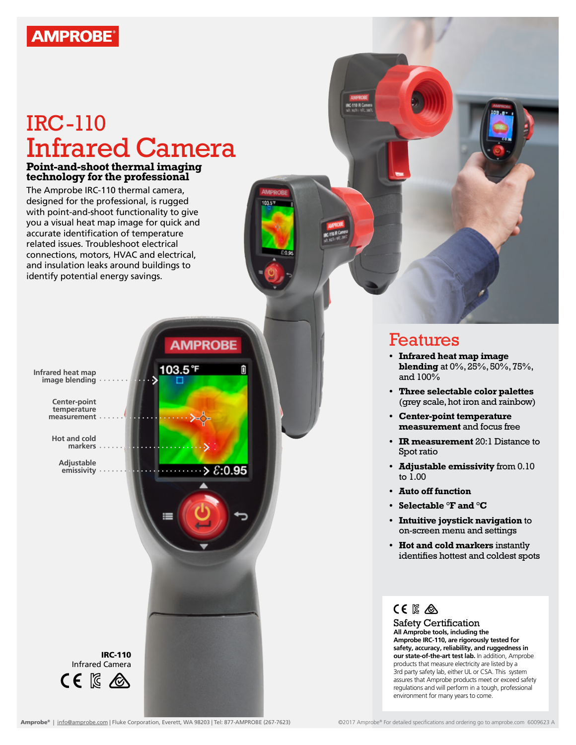

# IRC-110 Infrared Camera

int c

### **Point-and-shoot thermal imaging technology for the professional**

The Amprobe IRC-110 thermal camera, designed for the professional, is rugged with point-and-shoot functionality to give you a visual heat map image for quick and accurate identification of temperature related issues. Troubleshoot electrical connections, motors, HVAC and electrical, and insulation leaks around buildings to identify potential energy savings.



Features

- **• Infrared heat map image blending** at 0%, 25%, 50%, 75%, and 100%
- **• Three selectable color palettes**  (grey scale, hot iron and rainbow)
- **• Center-point temperature measurement** and focus free
- **• IR measurement** 20:1 Distance to Spot ratio
- **• Adjustable emissivity** from 0.10 to 1.00
- **• Auto off function**
- **• Selectable °F and °C**
- **• Intuitive joystick navigation** to on-screen menu and settings
- **• Hot and cold markers** instantly identifies hottest and coldest spots

## CE IS A

Safety Certification **All Amprobe tools, including the Amprobe IRC-110, are rigorously tested for safety, accuracy, reliability, and ruggedness in our state-of-the-art test lab.** In addition, Amprobe products that measure electricity are listed by a 3rd party safety lab, either UL or CSA. This system assures that Amprobe products meet or exceed safety regulations and will perform in a tough, professional environment for many years to come.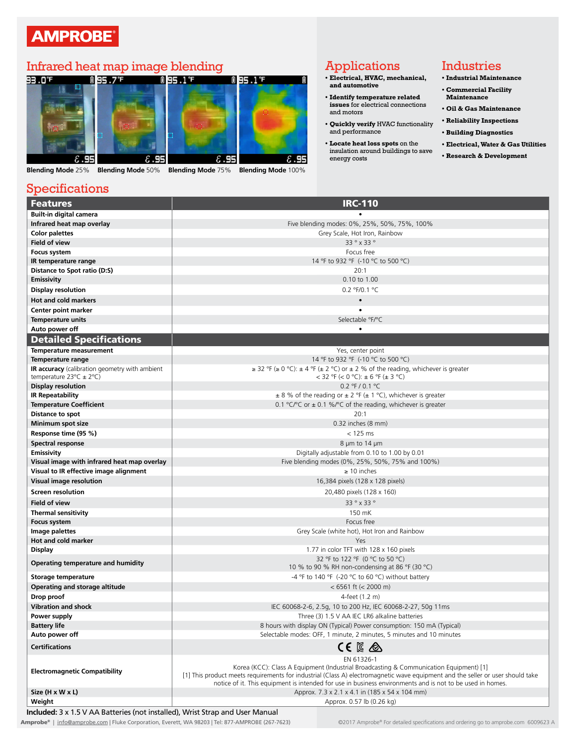## **AMPROBE®**



**Blending Mode** 25% **Blending Mode** 50% **Blending Mode** 75% **Blending Mode** 100%

## Applications

- **• Electrical, HVAC, mechanical, and automotive**
- **• Identify temperature related issues** for electrical connections and motors
- **• Quickly verify** HVAC functionality and performance
- **• Locate heat loss spots** on the insulation around buildings to save energy costs

### Industries

- **• Industrial Maintenance • Commercial Facility**
- **Maintenance**
- **• Oil & Gas Maintenance**
- **• Reliability Inspections • Building Diagnostics** 
	- **• Electrical, Water & Gas Utilities**
- **• Research & Development**

### Specifications

| <b>Features</b>                                                               | <b>IRC-110</b>                                                                                                                 |
|-------------------------------------------------------------------------------|--------------------------------------------------------------------------------------------------------------------------------|
| <b>Built-in digital camera</b>                                                |                                                                                                                                |
| Infrared heat map overlay                                                     | Five blending modes: 0%, 25%, 50%, 75%, 100%                                                                                   |
| <b>Color palettes</b>                                                         | Grey Scale, Hot Iron, Rainbow                                                                                                  |
| Field of view                                                                 | 33° x 33°                                                                                                                      |
| Focus system                                                                  | Focus free                                                                                                                     |
| IR temperature range                                                          | 14 °F to 932 °F (-10 °C to 500 °C)                                                                                             |
| Distance to Spot ratio (D:S)                                                  | 20:1                                                                                                                           |
| <b>Emissivity</b>                                                             | 0.10 to 1.00                                                                                                                   |
| <b>Display resolution</b>                                                     | 0.2 °F/0.1 °C                                                                                                                  |
| <b>Hot and cold markers</b>                                                   | $\bullet$                                                                                                                      |
| Center point marker                                                           |                                                                                                                                |
| <b>Temperature units</b>                                                      | Selectable °F/°C                                                                                                               |
| Auto power off                                                                |                                                                                                                                |
| <b>Detailed Specifications</b>                                                |                                                                                                                                |
| Temperature measurement                                                       | Yes, center point                                                                                                              |
| Temperature range                                                             | 14 °F to 932 °F (-10 °C to 500 °C)                                                                                             |
| <b>IR accuracy</b> (calibration geometry with ambient                         | $\geq$ 32 °F ( $\geq$ 0 °C): $\pm$ 4 °F ( $\pm$ 2 °C) or $\pm$ 2 % of the reading, whichever is greater                        |
| temperature $23^{\circ}C \pm 2^{\circ}C$ )                                    | $<$ 32 °F ( $<$ 0 °C): $\pm$ 6 °F ( $\pm$ 3 °C)                                                                                |
| <b>Display resolution</b>                                                     | 0.2 °F / 0.1 °C                                                                                                                |
| <b>IR Repeatability</b>                                                       | $\pm$ 8 % of the reading or $\pm$ 2 °F ( $\pm$ 1 °C), whichever is greater                                                     |
| <b>Temperature Coefficient</b>                                                | 0.1 °C/°C or $\pm$ 0.1 %/°C of the reading, whichever is greater                                                               |
| Distance to spot                                                              | 20:1                                                                                                                           |
| Minimum spot size                                                             | $0.32$ inches $(8 \text{ mm})$                                                                                                 |
| Response time (95 %)                                                          | $<$ 125 ms                                                                                                                     |
| Spectral response                                                             | 8 µm to 14 µm                                                                                                                  |
| Emissivity                                                                    | Digitally adjustable from 0.10 to 1.00 by 0.01                                                                                 |
| Visual image with infrared heat map overlay                                   | Five blending modes (0%, 25%, 50%, 75% and 100%)                                                                               |
| Visual to IR effective image alignment                                        | $\geq$ 10 inches                                                                                                               |
| Visual image resolution                                                       | 16,384 pixels (128 x 128 pixels)                                                                                               |
| Screen resolution                                                             | 20,480 pixels (128 x 160)                                                                                                      |
| <b>Field of view</b>                                                          | 33° x 33°                                                                                                                      |
| <b>Thermal sensitivity</b>                                                    | 150 mK                                                                                                                         |
| <b>Focus system</b>                                                           | Focus free                                                                                                                     |
| Image palettes                                                                | Grey Scale (white hot), Hot Iron and Rainbow                                                                                   |
| Hot and cold marker                                                           | Yes                                                                                                                            |
| <b>Display</b>                                                                | 1.77 in color TFT with 128 x 160 pixels                                                                                        |
| Operating temperature and humidity                                            | 32 °F to 122 °F (0 °C to 50 °C)                                                                                                |
|                                                                               | 10 % to 90 % RH non-condensing at 86 °F (30 °C)                                                                                |
| Storage temperature                                                           | -4 °F to 140 °F (-20 °C to 60 °C) without battery                                                                              |
| Operating and storage altitude                                                | $< 6561$ ft ( $< 2000$ m)                                                                                                      |
| Drop proof                                                                    | 4-feet (1.2 m)                                                                                                                 |
| <b>Vibration and shock</b>                                                    | IEC 60068-2-6, 2.5g, 10 to 200 Hz, IEC 60068-2-27, 50g 11ms                                                                    |
| Power supply                                                                  | Three (3) 1.5 V AA IEC LR6 alkaline batteries                                                                                  |
| <b>Battery life</b>                                                           | 8 hours with display ON (Typical) Power consumption: 150 mA (Typical)                                                          |
| Auto power off                                                                | Selectable modes: OFF, 1 minute, 2 minutes, 5 minutes and 10 minutes                                                           |
| <b>Certifications</b>                                                         | CE K A                                                                                                                         |
|                                                                               | EN 61326-1<br>Korea (KCC): Class A Equipment (Industrial Broadcasting & Communication Equipment) [1]                           |
| <b>Electromagnetic Compatibility</b>                                          | [1] This product meets requirements for industrial (Class A) electromagnetic wave equipment and the seller or user should take |
|                                                                               | notice of it. This equipment is intended for use in business environments and is not to be used in homes.                      |
| Size (H x W x L)                                                              | Approx. 7.3 x 2.1 x 4.1 in (185 x 54 x 104 mm)                                                                                 |
| Weight                                                                        | Approx. 0.57 lb (0.26 kg)                                                                                                      |
| Included: 3 x 1.5 V AA Batteries (not installed), Wrist Strap and User Manual |                                                                                                                                |

Amprobe® | info@amprobe.com | Fluke Corporation, Everett, WA 98203 | Tel: 877-AMPROBE (267-7623) For a comprobe® For detailed specifications and ordering go to amprobe.com 6009623 A